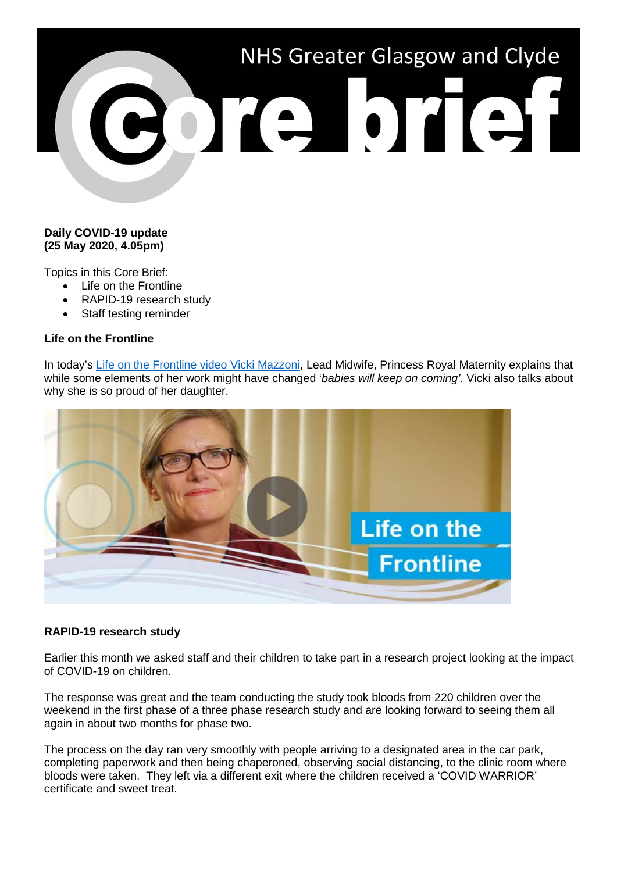

## **Daily COVID-19 update (25 May 2020, 4.05pm)**

Topics in this Core Brief:

- Life on the Frontline
- RAPID-19 research study
- Staff testing reminder

## **Life on the Frontline**

In today's [Life on the Frontline video Vicki Mazzoni,](https://www.youtube.com/watch?v=-xF4BW582Hc) Lead Midwife, Princess Royal Maternity explains that while some elements of her work might have changed '*babies will keep on coming'*. Vicki also talks about why she is so proud of her daughter.



## **RAPID-19 research study**

Earlier this month we asked staff and their children to take part in a research project looking at the impact of COVID-19 on children.

The response was great and the team conducting the study took bloods from 220 children over the weekend in the first phase of a three phase research study and are looking forward to seeing them all again in about two months for phase two.

The process on the day ran very smoothly with people arriving to a designated area in the car park, completing paperwork and then being chaperoned, observing social distancing, to the clinic room where bloods were taken. They left via a different exit where the children received a 'COVID WARRIOR' certificate and sweet treat.